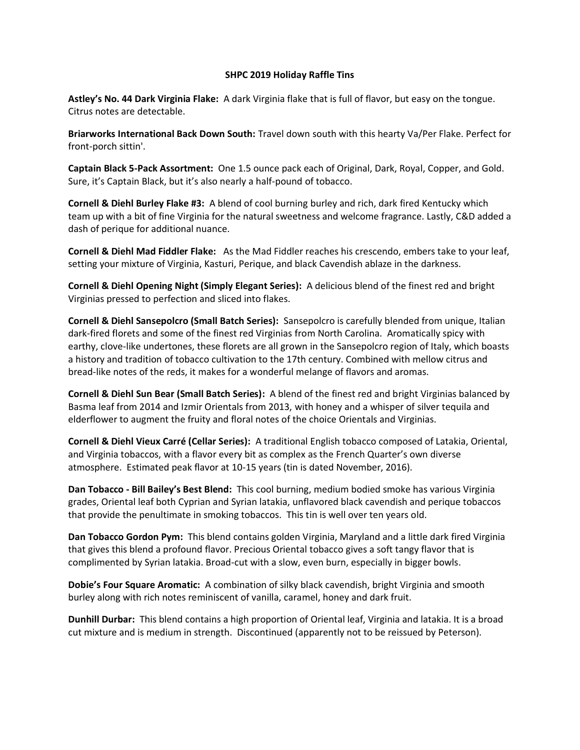## **SHPC 2019 Holiday Raffle Tins**

**Astley's No. 44 Dark Virginia Flake:** A dark Virginia flake that is full of flavor, but easy on the tongue. Citrus notes are detectable.

**Briarworks International Back Down South:** Travel down south with this hearty Va/Per Flake. Perfect for front-porch sittin'.

**Captain Black 5-Pack Assortment:** One 1.5 ounce pack each of Original, Dark, Royal, Copper, and Gold. Sure, it's Captain Black, but it's also nearly a half-pound of tobacco.

**Cornell & Diehl Burley Flake #3:** A blend of cool burning burley and rich, dark fired Kentucky which team up with a bit of fine Virginia for the natural sweetness and welcome fragrance. Lastly, C&D added a dash of perique for additional nuance.

**Cornell & Diehl Mad Fiddler Flake:** As the Mad Fiddler reaches his crescendo, embers take to your leaf, setting your mixture of Virginia, Kasturi, Perique, and black Cavendish ablaze in the darkness.

**Cornell & Diehl Opening Night (Simply Elegant Series):** A delicious blend of the finest red and bright Virginias pressed to perfection and sliced into flakes.

**Cornell & Diehl Sansepolcro (Small Batch Series):** Sansepolcro is carefully blended from unique, Italian dark-fired florets and some of the finest red Virginias from North Carolina. Aromatically spicy with earthy, clove-like undertones, these florets are all grown in the Sansepolcro region of Italy, which boasts a history and tradition of tobacco cultivation to the 17th century. Combined with mellow citrus and bread-like notes of the reds, it makes for a wonderful melange of flavors and aromas.

**Cornell & Diehl Sun Bear (Small Batch Series):** A blend of the finest red and bright Virginias balanced by Basma leaf from 2014 and Izmir Orientals from 2013, with honey and a whisper of silver tequila and elderflower to augment the fruity and floral notes of the choice Orientals and Virginias.

**Cornell & Diehl Vieux Carré (Cellar Series):** A traditional English tobacco composed of Latakia, Oriental, and Virginia tobaccos, with a flavor every bit as complex as the French Quarter's own diverse atmosphere. Estimated peak flavor at 10-15 years (tin is dated November, 2016).

**Dan Tobacco - Bill Bailey's Best Blend:** This cool burning, medium bodied smoke has various Virginia grades, Oriental leaf both Cyprian and Syrian latakia, unflavored black cavendish and perique tobaccos that provide the penultimate in smoking tobaccos. This tin is well over ten years old.

**Dan Tobacco Gordon Pym:** This blend contains golden Virginia, Maryland and a little dark fired Virginia that gives this blend a profound flavor. Precious Oriental tobacco gives a soft tangy flavor that is complimented by Syrian latakia. Broad-cut with a slow, even burn, especially in bigger bowls.

**Dobie's Four Square Aromatic:** A combination of silky black cavendish, bright Virginia and smooth burley along with rich notes reminiscent of vanilla, caramel, honey and dark fruit.

**Dunhill Durbar:** This blend contains a high proportion of Oriental leaf, Virginia and latakia. It is a broad cut mixture and is medium in strength. Discontinued (apparently not to be reissued by Peterson).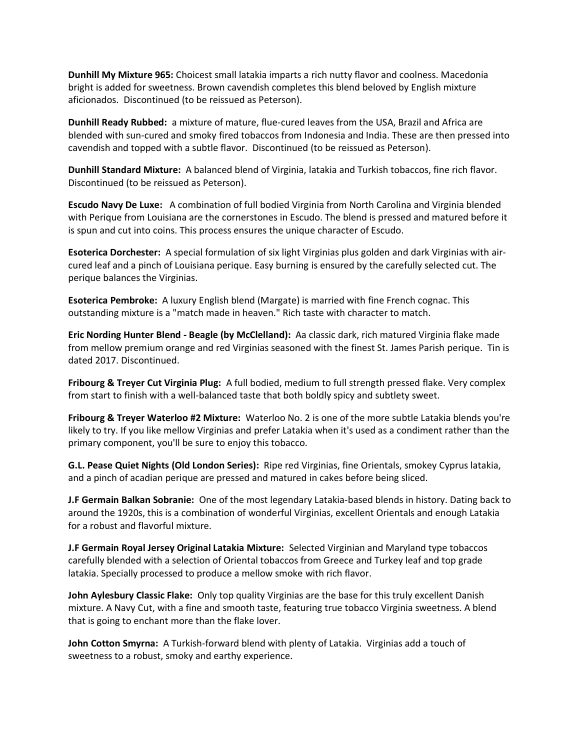**Dunhill My Mixture 965:** Choicest small latakia imparts a rich nutty flavor and coolness. Macedonia bright is added for sweetness. Brown cavendish completes this blend beloved by English mixture aficionados. Discontinued (to be reissued as Peterson).

**Dunhill Ready Rubbed:** a mixture of mature, flue-cured leaves from the USA, Brazil and Africa are blended with sun-cured and smoky fired tobaccos from Indonesia and India. These are then pressed into cavendish and topped with a subtle flavor. Discontinued (to be reissued as Peterson).

**Dunhill Standard Mixture:** A balanced blend of Virginia, latakia and Turkish tobaccos, fine rich flavor. Discontinued (to be reissued as Peterson).

**Escudo Navy De Luxe:** A combination of full bodied Virginia from North Carolina and Virginia blended with Perique from Louisiana are the cornerstones in Escudo. The blend is pressed and matured before it is spun and cut into coins. This process ensures the unique character of Escudo.

**Esoterica Dorchester:** A special formulation of six light Virginias plus golden and dark Virginias with aircured leaf and a pinch of Louisiana perique. Easy burning is ensured by the carefully selected cut. The perique balances the Virginias.

**Esoterica Pembroke:** A luxury English blend (Margate) is married with fine French cognac. This outstanding mixture is a "match made in heaven." Rich taste with character to match.

**Eric Nording Hunter Blend - Beagle (by McClelland):** Aa classic dark, rich matured Virginia flake made from mellow premium orange and red Virginias seasoned with the finest St. James Parish perique. Tin is dated 2017. Discontinued.

**Fribourg & Treyer Cut Virginia Plug:** A full bodied, medium to full strength pressed flake. Very complex from start to finish with a well-balanced taste that both boldly spicy and subtlety sweet.

**Fribourg & Treyer Waterloo #2 Mixture:** Waterloo No. 2 is one of the more subtle Latakia blends you're likely to try. If you like mellow Virginias and prefer Latakia when it's used as a condiment rather than the primary component, you'll be sure to enjoy this tobacco.

**G.L. Pease Quiet Nights (Old London Series):** Ripe red Virginias, fine Orientals, smokey Cyprus latakia, and a pinch of acadian perique are pressed and matured in cakes before being sliced.

**J.F Germain Balkan Sobranie:** One of the most legendary Latakia-based blends in history. Dating back to around the 1920s, this is a combination of wonderful Virginias, excellent Orientals and enough Latakia for a robust and flavorful mixture.

**J.F Germain Royal Jersey Original Latakia Mixture:** Selected Virginian and Maryland type tobaccos carefully blended with a selection of Oriental tobaccos from Greece and Turkey leaf and top grade latakia. Specially processed to produce a mellow smoke with rich flavor.

**John Aylesbury Classic Flake:** Only top quality Virginias are the base for this truly excellent Danish mixture. A Navy Cut, with a fine and smooth taste, featuring true tobacco Virginia sweetness. A blend that is going to enchant more than the flake lover.

**John Cotton Smyrna:** A Turkish-forward blend with plenty of Latakia. Virginias add a touch of sweetness to a robust, smoky and earthy experience.